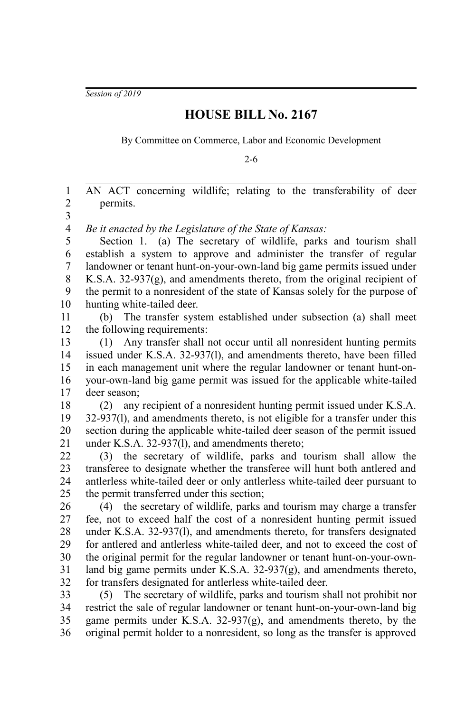*Session of 2019*

## **HOUSE BILL No. 2167**

By Committee on Commerce, Labor and Economic Development

2-6

AN ACT concerning wildlife; relating to the transferability of deer permits. *Be it enacted by the Legislature of the State of Kansas:* Section 1. (a) The secretary of wildlife, parks and tourism shall establish a system to approve and administer the transfer of regular landowner or tenant hunt-on-your-own-land big game permits issued under K.S.A. 32-937(g), and amendments thereto, from the original recipient of the permit to a nonresident of the state of Kansas solely for the purpose of hunting white-tailed deer. (b) The transfer system established under subsection (a) shall meet the following requirements: (1) Any transfer shall not occur until all nonresident hunting permits issued under K.S.A. 32-937(l), and amendments thereto, have been filled in each management unit where the regular landowner or tenant hunt-onyour-own-land big game permit was issued for the applicable white-tailed deer season; (2) any recipient of a nonresident hunting permit issued under K.S.A. 32-937(l), and amendments thereto, is not eligible for a transfer under this section during the applicable white-tailed deer season of the permit issued under K.S.A. 32-937(l), and amendments thereto; (3) the secretary of wildlife, parks and tourism shall allow the transferee to designate whether the transferee will hunt both antlered and antlerless white-tailed deer or only antlerless white-tailed deer pursuant to the permit transferred under this section; (4) the secretary of wildlife, parks and tourism may charge a transfer fee, not to exceed half the cost of a nonresident hunting permit issued under K.S.A. 32-937(l), and amendments thereto, for transfers designated for antlered and antlerless white-tailed deer, and not to exceed the cost of the original permit for the regular landowner or tenant hunt-on-your-ownland big game permits under K.S.A. 32-937(g), and amendments thereto, for transfers designated for antlerless white-tailed deer. (5) The secretary of wildlife, parks and tourism shall not prohibit nor restrict the sale of regular landowner or tenant hunt-on-your-own-land big game permits under K.S.A. 32-937(g), and amendments thereto, by the original permit holder to a nonresident, so long as the transfer is approved 1 2 3 4 5 6 7 8 9 10 11 12 13 14 15 16 17 18 19 20 21 22 23 24 25 26 27 28 29 30 31 32 33 34 35 36